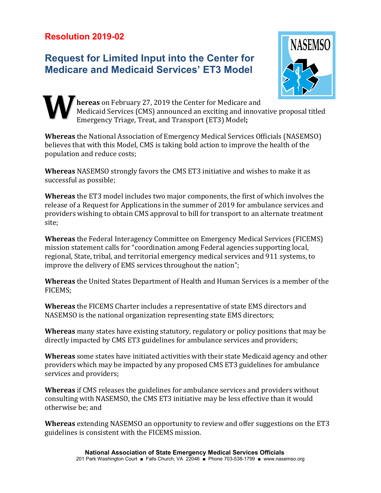## **Request for Limited Input into the Center for Medicare and Medicaid Services' ET3 Model**



**hereas** on February 27, 2019 the Center for Medicare and Medicaid Services (CMS) announced an exciting and innovative proposal titled Emergency Triage, Treat, and Transport (ET3) Model**; W**

**Whereas** the National Association of Emergency Medical Services Officials (NASEMSO) believes that with this Model, CMS is taking bold action to improve the health of the population and reduce costs;

**Whereas** NASEMSO strongly favors the CMS ET3 initiative and wishes to make it as successful as possible;

**Whereas** the ET3 model includes two major components, the first of which involves the release of a Request for Applications in the summer of 2019 for ambulance services and providers wishing to obtain CMS approval to bill for transport to an alternate treatment site;

**Whereas** the Federal Interagency Committee on Emergency Medical Services (FICEMS) mission statement calls for "coordination among Federal agencies supporting local, regional, State, tribal, and territorial emergency medical services and 911 systems, to improve the delivery of EMS services throughout the nation";

**Whereas** the United States Department of Health and Human Services is a member of the FICEMS;

**Whereas** the FICEMS Charter includes a representative of state EMS directors and NASEMSO is the national organization representing state EMS directors;

**Whereas** many states have existing statutory, regulatory or policy positions that may be directly impacted by CMS ET3 guidelines for ambulance services and providers;

**Whereas** some states have initiated activities with their state Medicaid agency and other providers which may be impacted by any proposed CMS ET3 guidelines for ambulance services and providers;

**Whereas** if CMS releases the guidelines for ambulance services and providers without consulting with NASEMSO, the CMS ET3 initiative may be less effective than it would otherwise be; and

**Whereas** extending NASEMSO an opportunity to review and offer suggestions on the ET3 guidelines is consistent with the FICEMS mission.